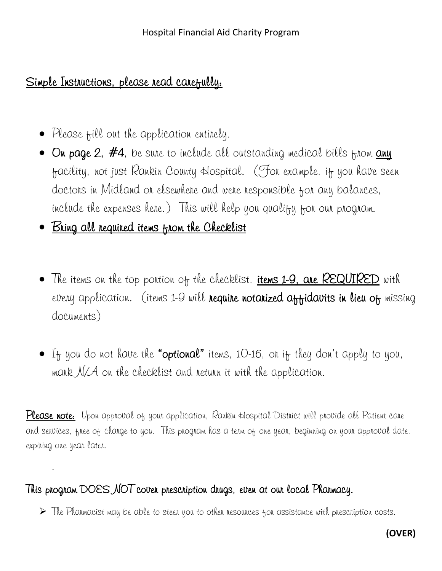# Simple Instructions, please read carefully:

- Please fill out the application entitely.
- $\bullet$  On page 2, #4, be sure to include all outstanding medical bills from  $\overline{\mathrm{auq}}$ facility, not just Rankin County Hospital. (For example, if you have seen doctors in Midland or elsewhere and were responsible for any balances, include the expenses here.) This will help you qualify for our program.
- Bring all required items from the Checklist

.

- The items on the top portion of the checklist, **items 1-9, are REQUIRED** with every application. (items 1-9 will require notarized affidavits in lieu of missing documents)
- $\bullet$  If you do not have the "optional" items, 10-16, on if they don't apply to you, mark  $N/A$  on the checklist and return it with the application.

Please note: Upon approval of your application, Rankin Hospital District will provide all Patient care and services, free of charge to you. This program has a term of one year, beginning on your approval date, expiring one year later.

# This program DOES NOT cover prescription drugs, even at our local Pharmacy.

 $\triangleright$  The Pharmacist may be able to steer you to other resources for assistance with prescription costs.

# **(OVER)**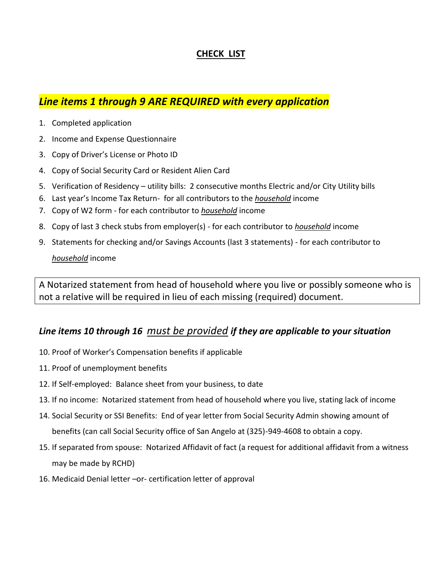## **CHECK LIST**

## *Line items 1 through 9 ARE REQUIRED with every application*

- 1. Completed application
- 2. Income and Expense Questionnaire
- 3. Copy of Driver's License or Photo ID
- 4. Copy of Social Security Card or Resident Alien Card
- 5. Verification of Residency utility bills: 2 consecutive months Electric and/or City Utility bills
- 6. Last year's Income Tax Return- for all contributors to the *household* income
- 7. Copy of W2 form for each contributor to *household* income
- 8. Copy of last 3 check stubs from employer(s) for each contributor to *household* income
- 9. Statements for checking and/or Savings Accounts (last 3 statements) for each contributor to

*household* income

A Notarized statement from head of household where you live or possibly someone who is not a relative will be required in lieu of each missing (required) document.

## *Line items 10 through 16 must be provided if they are applicable to your situation*

- 10. Proof of Worker's Compensation benefits if applicable
- 11. Proof of unemployment benefits
- 12. If Self-employed: Balance sheet from your business, to date
- 13. If no income: Notarized statement from head of household where you live, stating lack of income
- 14. Social Security or SSI Benefits: End of year letter from Social Security Admin showing amount of benefits (can call Social Security office of San Angelo at (325)-949-4608 to obtain a copy.
- 15. If separated from spouse: Notarized Affidavit of fact (a request for additional affidavit from a witness may be made by RCHD)
- 16. Medicaid Denial letter –or- certification letter of approval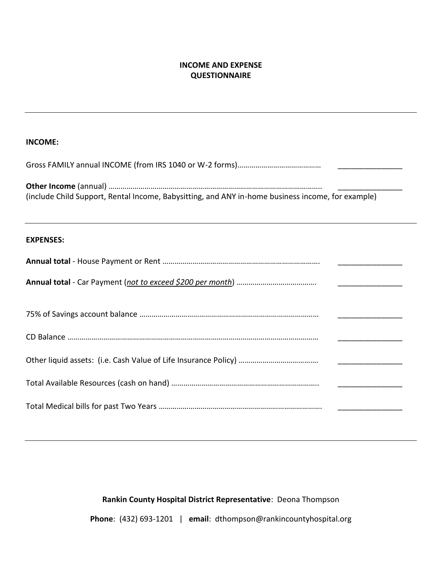### **INCOME AND EXPENSE QUESTIONNAIRE**

### **INCOME:**

| (include Child Support, Rental Income, Babysitting, and ANY in-home business income, for example)    |  |  |  |  |
|------------------------------------------------------------------------------------------------------|--|--|--|--|
| ,我们也不会有什么。""我们的人,我们也不会有什么?""我们的人,我们也不会有什么?""我们的人,我们也不会有什么?""我们的人,我们也不会有什么?""我们的人<br><b>EXPENSES:</b> |  |  |  |  |
|                                                                                                      |  |  |  |  |
|                                                                                                      |  |  |  |  |
|                                                                                                      |  |  |  |  |
|                                                                                                      |  |  |  |  |
|                                                                                                      |  |  |  |  |
|                                                                                                      |  |  |  |  |
|                                                                                                      |  |  |  |  |

### **Rankin County Hospital District Representative**: Deona Thompson

**Phone**: (432) 693-1201 | **email**: dthompson@rankincountyhospital.org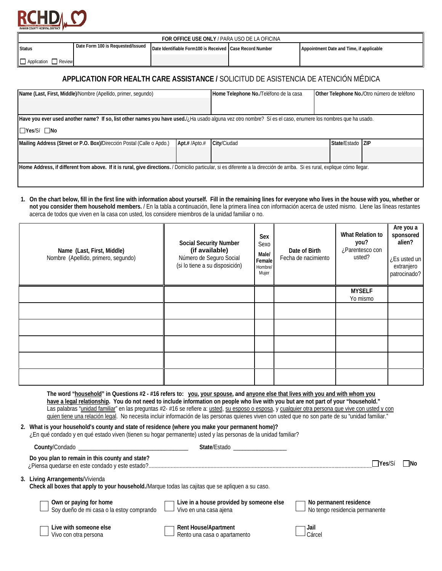

| FOR OFFICE USE ONLY / PARA USO DE LA OFICINA |                                   |                                                          |  |                                          |  |  |  |
|----------------------------------------------|-----------------------------------|----------------------------------------------------------|--|------------------------------------------|--|--|--|
| <b>Status</b>                                | Date Form 100 is Requested/Issued | Date Identifiable Form100 is Received Case Record Number |  | Appointment Date and Time, if applicable |  |  |  |
| Application Review                           |                                   |                                                          |  |                                          |  |  |  |
|                                              |                                   |                                                          |  |                                          |  |  |  |

### **APPLICATION FOR HEALTH CARE ASSISTANCE /** SOLICITUD DE ASISTENCIA DE ATENCIÓN MÉDICA

| Name (Last, First, Middle)/Nombre (Apellido, primer, segundo)                                                                                                                | Home Telephone No./Teléfono de la casa |             | Other Telephone No./Otro número de teléfono |  |  |
|------------------------------------------------------------------------------------------------------------------------------------------------------------------------------|----------------------------------------|-------------|---------------------------------------------|--|--|
|                                                                                                                                                                              |                                        |             |                                             |  |  |
| Have you ever used another name? If so, list other names you have used./, Ha usado alguna vez otro nombre? Si es el caso, enumere los nombres que ha usado.                  |                                        |             |                                             |  |  |
| I⊡Yes/Sí □No                                                                                                                                                                 |                                        |             |                                             |  |  |
| Apt.# /Apto.#<br>Mailing Address (Street or P.O. Box)/Dirección Postal (Calle o Apdo.)                                                                                       |                                        | City/Ciudad | State/Estado ZIP                            |  |  |
|                                                                                                                                                                              |                                        |             |                                             |  |  |
| Home Address, if different from above. If it is rural, give directions. / Domicilio particular, si es diferente a la dirección de arriba. Si es rural, explique cómo llegar. |                                        |             |                                             |  |  |
|                                                                                                                                                                              |                                        |             |                                             |  |  |

**1. On the chart below, fill in the first line with information about yourself. Fill in the remaining lines for everyone who lives in the house with you, whether or not you consider them household members.** / En la tabla a continuación, llene la primera línea con información acerca de usted mismo.Llene las líneas restantes acerca de todos que viven en la casa con usted, los considere miembros de la unidad familiar o no.

| Name (Last, First, Middle)<br>Nombre (Apellido, primero, segundo) | <b>Social Security Number</b><br>(if available)<br>Número de Seguro Social<br>(si lo tiene a su disposición) | Sex<br>Sexo<br>Male/<br>Female<br>Hombre/<br>Mujer | Date of Birth<br>Fecha de nacimiento | What Relation to<br>you?<br>¿Parentesco con<br>usted? | Are you a<br>sponsored<br>alien?<br>Es usted un<br>extranjero<br>patrocinado? |
|-------------------------------------------------------------------|--------------------------------------------------------------------------------------------------------------|----------------------------------------------------|--------------------------------------|-------------------------------------------------------|-------------------------------------------------------------------------------|
|                                                                   |                                                                                                              |                                                    |                                      | <b>MYSELF</b><br>Yo mismo                             |                                                                               |
|                                                                   |                                                                                                              |                                                    |                                      |                                                       |                                                                               |
|                                                                   |                                                                                                              |                                                    |                                      |                                                       |                                                                               |
|                                                                   |                                                                                                              |                                                    |                                      |                                                       |                                                                               |
|                                                                   |                                                                                                              |                                                    |                                      |                                                       |                                                                               |
|                                                                   |                                                                                                              |                                                    |                                      |                                                       |                                                                               |

**The word "household" in Questions #2 - #16 refers to: you, your spouse, and anyone else that lives with you and with whom you have a legal relationship. You do not need to include information on people who live with you but are not part of your "household."** Las palabras "unidad familiar" en las preguntas #2- #16 se refiere a: usted, su esposo o esposa, y cualquier otra persona que vive con usted y con quien tiene una relación legal. No necesita incluir información de las personas quienes viven con usted que no son parte de su "unidad familiar."

**2. What is your household's county and state of residence (where you make your permanent home)?**

|  | En qué condado y en qué estado viven (tienen su hogar permanente) usted y las personas de la unidad familiar? |
|--|---------------------------------------------------------------------------------------------------------------|
|  |                                                                                                               |

| County/Condado                                                                                                                       | State/Estado                                                       |                                                          |       |
|--------------------------------------------------------------------------------------------------------------------------------------|--------------------------------------------------------------------|----------------------------------------------------------|-------|
| Do you plan to remain in this county and state?                                                                                      |                                                                    | Yes/S                                                    | - INo |
| 3. Living Arrangements/Vivienda<br>Check all boxes that apply to your household./Marque todas las cajitas que se apliquen a su caso. |                                                                    |                                                          |       |
| <b>Own or paying for home</b><br>Soy dueño de mi casa o la estoy comprando                                                           | Live in a house provided by someone else<br>Vivo en una casa ajena | No permanent residence<br>No tengo residencia permanente |       |
| Live with someone else<br>Vivo con otra persona                                                                                      | Rent House/Apartment<br>Rento una casa o apartamento               | Jail<br>Cárce                                            |       |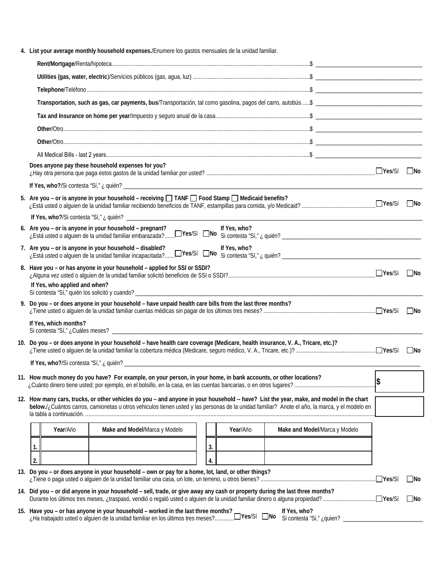**4. List your average monthly household expenses.**/Enumere los gastos mensuales de la unidad familiar.

|                               | Does anyone pay these household expenses for you?                                                                                                                                                                                                                                         |    |              |              |                               | <b>No</b> |
|-------------------------------|-------------------------------------------------------------------------------------------------------------------------------------------------------------------------------------------------------------------------------------------------------------------------------------------|----|--------------|--------------|-------------------------------|-----------|
|                               |                                                                                                                                                                                                                                                                                           |    |              |              |                               |           |
|                               | 5. Are you - or is anyone in your household - receiving $\Box$ TANF $\Box$ Food Stamp $\Box$ Medicaid benefits?                                                                                                                                                                           |    |              |              |                               | l INo     |
|                               | 6. Are you - or is anyone in your household - pregnant?<br>2.0 year of the anyone in your modes in the green.<br>Exista usted o alguien de la unidad familiar embarazada?□Yes/Sí □No Si contesta "Sí," ¿ quién? __________________________________                                        |    | If Yes, who? |              |                               |           |
|                               | 7. Are you – or is anyone in your household – disabled?<br>Lestá usted o alguien de la unidad familiar incapacitada? Ves/Sí No Si contesta "Sí," ¿ quién?                                                                                                                                 |    | If Yes, who? |              |                               |           |
| If Yes, who applied and when? | 8. Have you - or has anyone in your household - applied for SSI or SSDI?                                                                                                                                                                                                                  |    |              |              |                               | <b>No</b> |
|                               | 9. Do you - or does anyone in your household - have unpaid health care bills from the last three months?                                                                                                                                                                                  |    |              |              |                               | $\Box$ No |
| If Yes, which months?         |                                                                                                                                                                                                                                                                                           |    |              |              |                               |           |
|                               | 10. Do you – or does anyone in your household – have health care coverage (Medicare, health insurance, V. A., Tricare, etc.)?                                                                                                                                                             |    |              |              |                               | - INo     |
|                               |                                                                                                                                                                                                                                                                                           |    |              |              |                               |           |
|                               | 11. How much money do you have? For example, on your person, in your home, in bank accounts, or other locations?                                                                                                                                                                          |    |              |              |                               |           |
|                               | 12. How many cars, trucks, or other vehicles do you – and anyone in your household -- have? List the year, make, and model in the chart<br>below./¿Cuántos carros, camionetas u otros vehiculos tienen usted y las personas de la unidad familiar? Anote el año, la marca, y el modelo en |    |              |              |                               |           |
| Year/Año                      | Make and Model/Marca y Modelo                                                                                                                                                                                                                                                             |    | Year/Año     |              | Make and Model/Marca y Modelo |           |
| 1.                            |                                                                                                                                                                                                                                                                                           | 3. |              |              |                               |           |
|                               |                                                                                                                                                                                                                                                                                           |    |              |              |                               |           |
| 2.                            | 13. Do you – or does anyone in your household – own or pay for a home, lot, land, or other things?                                                                                                                                                                                        | 4. |              |              |                               |           |
|                               | 14. Did you - or did anyone in your household - sell, trade, or give away any cash or property during the last three months?                                                                                                                                                              |    |              |              |                               | No        |
|                               |                                                                                                                                                                                                                                                                                           |    |              |              |                               | $\Box$ No |
|                               | 15. Have you - or has anyone in your household - worked in the last three months?<br>UYes/Sí DNoزHa trabajado usted o alguien de la unidad familiar en los últimos tres meses?                                                                                                            |    |              | If Yes, who? | Si contesta "Si," ¿quien?     |           |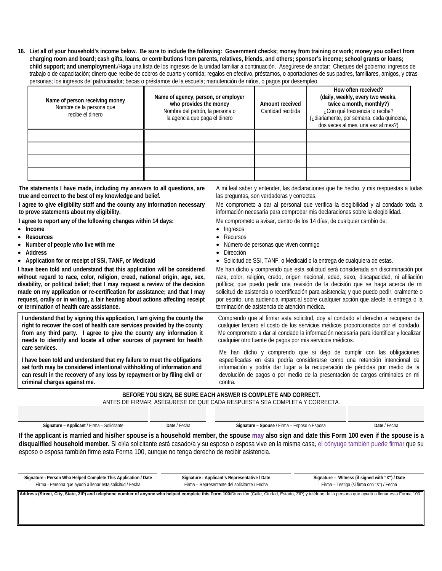**16. List all of your household's income below. Be sure to include the following: Government checks; money from training or work; money you collect from charging room and board; cash gifts, loans, or contributions from parents, relatives, friends, and others; sponsor's income; school grants or loans; child support; and unemployment.**/Haga una lista de los ingresos de la unidad familiar a continuación. Asegúrese de anotar: Cheques del gobierno; ingresos de trabajo o de capacitación; dinero que recibe de cobros de cuarto y comida; regalos en efectivo, préstamos, o aportaciones de sus padres, familiares, amigos, y otras personas; los ingresos del patrocinador; becas o préstamos de la escuela; manutención de niños, o pagos por desempleo.

| Name of person receiving money<br>Nombre de la persona que<br>recibe el dinero | Name of agency, person, or employer<br>who provides the money<br>Nombre del patrón, la persona o<br>la agencia que paga el dinero | Amount received<br>Cantidad recibida | How often received?<br>(daily, weekly, every two weeks,<br>twice a month, monthly?)<br>¿Con qué frecuencia lo recibe?<br>(¿diariamente, por semana, cada quincena,<br>dos veces al mes, una vez al mes?) |  |
|--------------------------------------------------------------------------------|-----------------------------------------------------------------------------------------------------------------------------------|--------------------------------------|----------------------------------------------------------------------------------------------------------------------------------------------------------------------------------------------------------|--|
|                                                                                |                                                                                                                                   |                                      |                                                                                                                                                                                                          |  |
|                                                                                |                                                                                                                                   |                                      |                                                                                                                                                                                                          |  |
|                                                                                |                                                                                                                                   |                                      |                                                                                                                                                                                                          |  |
|                                                                                |                                                                                                                                   |                                      |                                                                                                                                                                                                          |  |

| The statements I have made, including my answers to all questions, are     | A mi leal saber y entender, las declaraciones que he hecho, y mis respuestas a todas |
|----------------------------------------------------------------------------|--------------------------------------------------------------------------------------|
| true and correct to the best of my knowledge and belief.                   | las preguntas, son verdaderas y correctas.                                           |
| I agree to give eligibility staff and the county any information necessary | Me comprometo a dar al personal que verifica la elegibilidad y al condado toda la    |
| to prove statements about my eligibility.                                  | información necesaria para comprobar mis declaraciones sobre la elegibilidad.        |
|                                                                            |                                                                                      |

**I agree to report any of the following changes within 14 days:**

- **Income**
- **Resources**
- **Number of people who live with me**
- **Address**
- **Application for or receipt of SSI, TANF, or Medicaid**

**I have been told and understand that this application will be considered without regard to race, color, religion, creed, national origin, age, sex, disability, or political belief; that I may request a review of the decision made on my application or re-certification for assistance; and that I may request, orally or in writing, a fair hearing about actions affecting receipt or termination of health care assistance.**

**I understand that by signing this application, I am giving the county the right to recover the cost of health care services provided by the county from any third party. I agree to give the county any information it needs to identify and locate all other sources of payment for health care services.**

**I have been told and understand that my failure to meet the obligations set forth may be considered intentional withholding of information and can result in the recovery of any loss by repayment or by filing civil or criminal charges against me.**

Me comprometo a avisar, dentro de los 14 días, de cualquier cambio de:

- **Ingresos**
- **Recursos**
- Número de personas que viven conmigo
- **Dirección**
- Solicitud de SSI, TANF, o Medicaid o la entrega de cualquiera de estas.

Me han dicho y comprendo que esta solicitud será considerada sin discriminación por raza, color, religión, credo, origen nacional, edad, sexo, discapacidad, ni afiliación política; que puedo pedir una revisión de la decisión que se haga acerca de mi solicitud de asistencia o recertificación para asistencia; y que puedo pedir, oralmente o por escrito, una audiencia imparcial sobre cualquier acción que afecte la entrega o la terminación de asistencia de atención médica.

Comprendo que al firmar esta solicitud, doy al condado el derecho a recuperar de cualquier tercero el costo de los servicios médicos proporcionados por el condado. Me comprometo a dar al condado la información necesaria para identificar y localizar cualquier otro fuente de pagos por mis servicios médicos.

Me han dícho y comprendo que si dejo de cumplir con las obligaciones especificadas en ésta podría considerarse como una retención intencional de información y podría dar lugar a la recuperación de pérdidas por medio de la devolución de pagos o por medio de la presentación de cargos criminales en mi contra.

**BEFORE YOU SIGN, BE SURE EACH ANSWER IS COMPLETE AND CORRECT.**

ANTES DE FIRMAR, ASEGÚRESE DE QUE CADA RESPUESTA SEA COMPLETA Y CORRECTA.

| Signature - Applicant / Firma - Solicitante | Date / Fecha | Signature - Spouse |
|---------------------------------------------|--------------|--------------------|
|                                             |              |                    |

**Signature – Applicant** / Firma – Solicitante **Date** / Fecha **Signature – Spouse** / Firma – Esposo o Esposa **Date** / Fecha

**If the applicant is married and his/her spouse is a household member, the spouse may also sign and date this Form 100 even if the spouse is a disqualified household member.** Si el/la solicitante está casado/a y su esposo o esposa vive en la misma casa, el cónyuge también puede firmar que su esposo o esposa también firme esta Forma 100, aunque no tenga derecho de recibir asistencia.

**Signature - Person Who Helped Complete This Application / Date** Firma - Persona que ayudó a llenar esta solicitud / Fecha **Signature - Applicant's Representative / Date** Firma – Representante del solicitante / Fecha **Signature – Witness (if signed with "X") / Date** Firma – Testigo (si firma con "X") / Fecha

Address (Street, City, State, ZIP) and telephone number of anyone who helped complete this Form 100/Dirección (Calle, Ciudad, Estado, ZIP) y teléfono de la persona que ayudó a llenar esta Forma 100